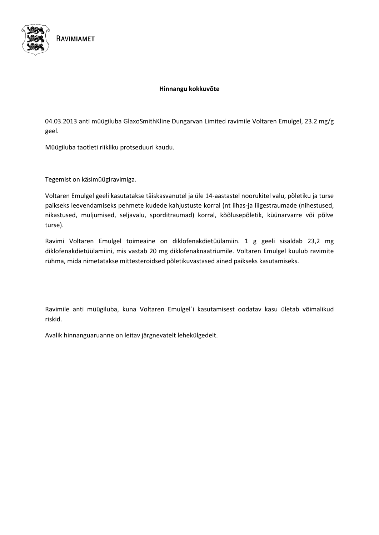

#### **Hinnangu kokkuvõte**

04.03.2013 anti müügiluba GlaxoSmithKline Dungarvan Limited ravimile Voltaren Emulgel, 23.2 mg/g geel.

Müügiluba taotleti riikliku protseduuri kaudu.

Tegemist on käsimüügiravimiga.

Voltaren Emulgel geeli kasutatakse täiskasvanutel ja üle 14-aastastel noorukitel valu, põletiku ja turse paikseks leevendamiseks pehmete kudede kahjustuste korral (nt lihas-ja liigestraumade (nihestused, nikastused, muljumised, seljavalu, sporditraumad) korral, kõõlusepõletik, küünarvarre või põlve turse).

Ravimi Voltaren Emulgel toimeaine on diklofenakdietüülamiin. 1 g geeli sisaldab 23,2 mg diklofenakdietüülamiini, mis vastab 20 mg diklofenaknaatriumile. Voltaren Emulgel kuulub ravimite rühma, mida nimetatakse mittesteroidsed põletikuvastased ained paikseks kasutamiseks.

Ravimile anti müügiluba, kuna Voltaren Emulgel`i kasutamisest oodatav kasu ületab võimalikud riskid.

Avalik hinnanguaruanne on leitav järgnevatelt lehekülgedelt.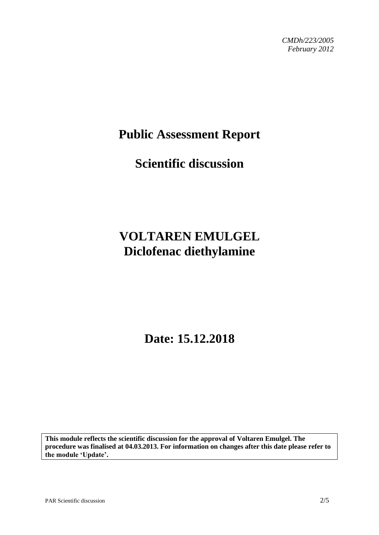*CMDh/223/2005 February 2012*

## **Public Assessment Report**

# **Scientific discussion**

# **VOLTAREN EMULGEL Diclofenac diethylamine**

**Date: 15.12.2018**

**This module reflects the scientific discussion for the approval of Voltaren Emulgel. The procedure was finalised at 04.03.2013. For information on changes after this date please refer to the module 'Update'.**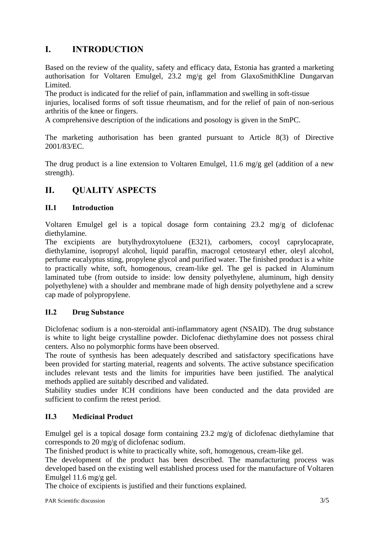## **I. INTRODUCTION**

Based on the review of the quality, safety and efficacy data, Estonia has granted a marketing authorisation for Voltaren Emulgel*,* 23.2 mg/g gel from GlaxoSmithKline Dungarvan Limited.

The product is indicated for the relief of pain, inflammation and swelling in soft-tissue

injuries, localised forms of soft tissue rheumatism, and for the relief of pain of non-serious arthritis of the knee or fingers.

A comprehensive description of the indications and posology is given in the SmPC.

The marketing authorisation has been granted pursuant to Article 8(3) of Directive 2001/83/EC.

The drug product is a line extension to Voltaren Emulgel, 11.6 mg/g gel (addition of a new strength).

## **II. QUALITY ASPECTS**

## **II.1 Introduction**

Voltaren Emulgel gel is a topical dosage form containing 23.2 mg/g of diclofenac diethylamine.

The excipients are butylhydroxytoluene (E321), carbomers, cocoyl caprylocaprate, diethylamine, isopropyl alcohol, liquid paraffin, macrogol cetostearyl ether, oleyl alcohol, perfume eucalyptus sting, propylene glycol and purified water. The finished product is a white to practically white, soft, homogenous, cream-like gel. The gel is packed in Aluminum laminated tube (from outside to inside: low density polyethylene, aluminum, high density polyethylene) with a shoulder and membrane made of high density polyethylene and a screw cap made of polypropylene.

### **II.2 Drug Substance**

Diclofenac sodium is a non-steroidal anti-inflammatory agent (NSAID). The drug substance is white to light beige crystalline powder. Diclofenac diethylamine does not possess chiral centers. Also no polymorphic forms have been observed.

The route of synthesis has been adequately described and satisfactory specifications have been provided for starting material, reagents and solvents. The active substance specification includes relevant tests and the limits for impurities have been justified. The analytical methods applied are suitably described and validated.

Stability studies under ICH conditions have been conducted and the data provided are sufficient to confirm the retest period.

## **II.3 Medicinal Product**

Emulgel gel is a topical dosage form containing 23.2 mg/g of diclofenac diethylamine that corresponds to 20 mg/g of diclofenac sodium.

The finished product is white to practically white, soft, homogenous, cream-like gel.

The development of the product has been described. The manufacturing process was developed based on the existing well established process used for the manufacture of Voltaren Emulgel 11.6 mg/g gel.

The choice of excipients is justified and their functions explained.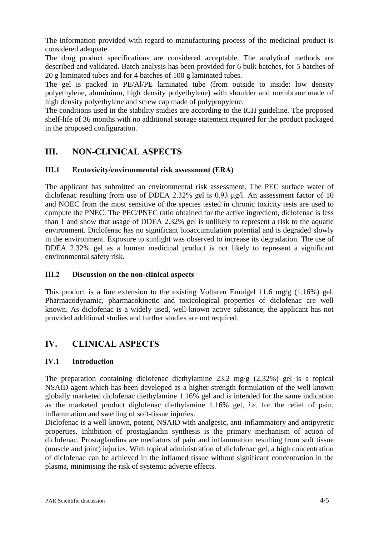The information provided with regard to manufacturing process of the medicinal product is considered adequate.

The drug product specifications are considered acceptable. The analytical methods are described and validated. Batch analysis has been provided for 6 bulk batches, for 5 batches of 20 g laminated tubes and for 4 batches of 100 g laminated tubes.

The gel is packed in PE/Al/PE laminated tube (from outside to inside: low density polyethylene, aluminium, high density polyethylene) with shoulder and membrane made of high density polyethylene and screw cap made of polypropylene*.*

The conditions used in the stability studies are according to the ICH guideline. The proposed shelf-life of 36 months with no additional storage statement required for the product packaged in the proposed configuration.

## **III. NON-CLINICAL ASPECTS**

## **III.1 Ecotoxicity/environmental risk assessment (ERA)**

The applicant has submitted an environmental risk assessment. The PEC surface water of diclofenac resulting from use of DDEA 2.32% gel is 0.93 μg/l. An assessment factor of 10 and NOEC from the most sensitive of the species tested in chronic toxicity tests are used to compute the PNEC. The PEC/PNEC ratio obtained for the active ingredient, diclofenac is less than 1 and show that usage of DDEA 2.32% gel is unlikely to represent a risk to the aquatic environment. Diclofenac has no significant bioaccumulation potential and is degraded slowly in the environment. Exposure to sunlight was observed to increase its degradation. The use of DDEA 2.32% gel as a human medicinal product is not likely to represent a significant environmental safety risk.

### **III.2 Discussion on the non-clinical aspects**

This product is a line extension to the existing Voltaren Emulgel 11.6 mg/g (1.16%) gel. Pharmacodynamic, pharmacokinetic and toxicological properties of diclofenac are well known. As diclofenac is a widely used, well-known active substance, the applicant has not provided additional studies and further studies are not required.

## **IV. CLINICAL ASPECTS**

### **IV.1 Introduction**

The preparation containing diclofenac diethylamine 23.2 mg/g (2.32%) gel is a topical NSAID agent which has been developed as a higher-strength formulation of the well known globally marketed diclofenac diethylamine 1.16% gel and is intended for the same indication as the marketed product diglofenac diethylamine 1.16% gel, *i.e.* for the relief of pain, inflammation and swelling of soft-tissue injuries.

Diclofenac is a well-known, potent, NSAID with analgesic, anti-inflammatory and antipyretic properties. Inhibition of prostaglandin synthesis is the primary mechanism of action of diclofenac. Prostaglandins are mediators of pain and inflammation resulting from soft tissue (muscle and joint) injuries. With topical administration of diclofenac gel, a high concentration of diclofenac can be achieved in the inflamed tissue without significant concentration in the plasma, minimising the risk of systemic adverse effects.